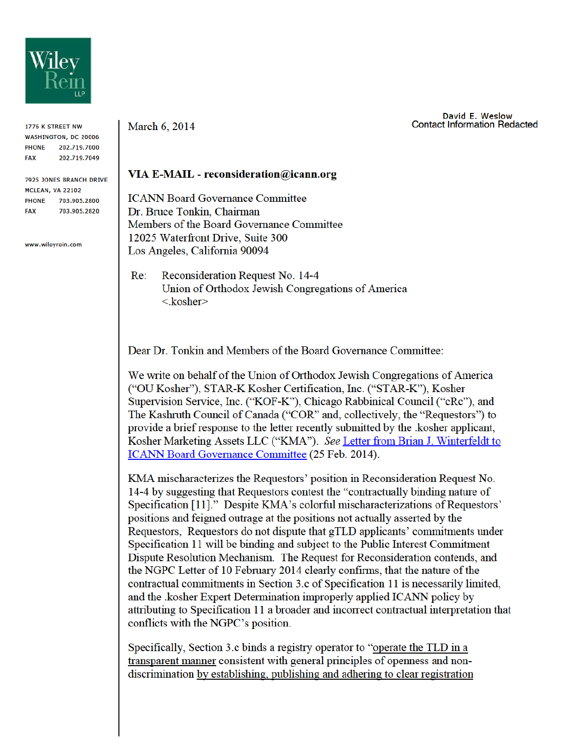

1776 K STREET NW **WASHINGTON, DC 20006** PHONE 202.719.7000 **FAX** 202.719.7049

**7925 JONES BRANCH DRIVE** MCLEAN, VA 22102 PHONE 703.905.2800 703.905.2820 **FAX** 

www.wilevrein.com

March 6, 2014

## David E. Weslow **Contact Information Redacted**

## VIA E-MAIL - reconsideration@icann.org

**ICANN Board Governance Committee** Dr. Bruce Tonkin, Chairman Members of the Board Governance Committee 12025 Waterfront Drive, Suite 300 Los Angeles, California 90094

Reconsideration Request No. 14-4  $Re:$ Union of Orthodox Jewish Congregations of America  $<$ kosher $>$ 

Dear Dr. Tonkin and Members of the Board Governance Committee:

We write on behalf of the Union of Orthodox Jewish Congregations of America ("OU Kosher"), STAR-K Kosher Certification, Inc. ("STAR-K"), Kosher Supervision Service, Inc. ("KOF-K"), Chicago Rabbinical Council ("cRc"), and The Kashruth Council of Canada ("COR" and, collectively, the "Requestors") to provide a brief response to the letter recently submitted by the kosher applicant, Kosher Marketing Assets LLC ("KMA"). See Letter from Brian J. Winterfeldt to **ICANN Board Governance Committee (25 Feb. 2014).** 

KMA mischaracterizes the Requestors' position in Reconsideration Request No. 14-4 by suggesting that Requestors contest the "contractually binding nature of Specification [11]." Despite KMA's colorful mischaracterizations of Requestors' positions and feigned outrage at the positions not actually asserted by the Requestors, Requestors do not dispute that gTLD applicants' commitments under Specification 11 will be binding and subject to the Public Interest Commitment Dispute Resolution Mechanism. The Request for Reconsideration contends, and the NGPC Letter of 10 February 2014 clearly confirms, that the nature of the contractual commitments in Section 3.c of Specification 11 is necessarily limited, and the .kosher Expert Determination improperly applied ICANN policy by attributing to Specification 11 a broader and incorrect contractual interpretation that conflicts with the NGPC's position.

Specifically, Section 3.c binds a registry operator to "operate the TLD in a transparent manner consistent with general principles of openness and nondiscrimination by establishing, publishing and adhering to clear registration